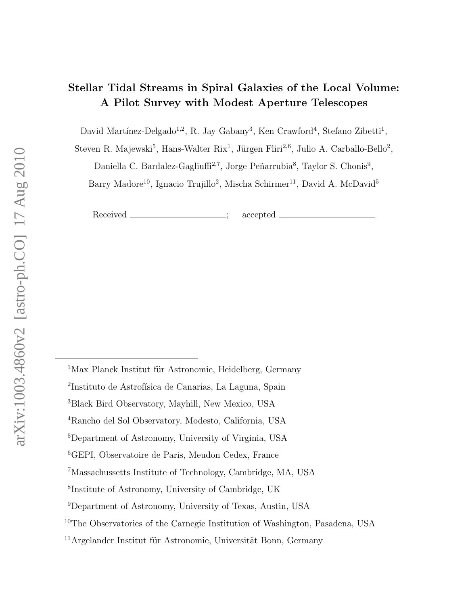# Stellar Tidal Streams in Spiral Galaxies of the Local Volume: A Pilot Survey with Modest Aperture Telescopes

David Martínez-Delgado<sup>1,2</sup>, R. Jay Gabany<sup>3</sup>, Ken Crawford<sup>4</sup>, Stefano Zibetti<sup>1</sup>,

Steven R. Majewski<sup>5</sup>, Hans-Walter Rix<sup>1</sup>, Jürgen Fliri<sup>2,6</sup>, Julio A. Carballo-Bello<sup>2</sup>,

Daniella C. Bardalez-Gagliuffi<sup>2,7</sup>, Jorge Peñarrubia<sup>8</sup>, Taylor S. Chonis<sup>9</sup>,

Barry Madore<sup>10</sup>, Ignacio Trujillo<sup>2</sup>, Mischa Schirmer<sup>11</sup>, David A. McDavid<sup>5</sup>

Received \_\_\_\_\_\_\_\_\_\_\_\_\_\_\_; accepted \_

 $1$ Max Planck Institut für Astronomie, Heidelberg, Germany

<sup>&</sup>lt;sup>2</sup>Instituto de Astrofísica de Canarias, La Laguna, Spain

<sup>3</sup>Black Bird Observatory, Mayhill, New Mexico, USA

<sup>4</sup>Rancho del Sol Observatory, Modesto, California, USA

<sup>5</sup>Department of Astronomy, University of Virginia, USA

<sup>6</sup>GEPI, Observatoire de Paris, Meudon Cedex, France

<sup>7</sup>Massachussetts Institute of Technology, Cambridge, MA, USA

<sup>8</sup> Institute of Astronomy, University of Cambridge, UK

<sup>9</sup>Department of Astronomy, University of Texas, Austin, USA

<sup>&</sup>lt;sup>10</sup>The Observatories of the Carnegie Institution of Washington, Pasadena, USA

 $11$ Argelander Institut für Astronomie, Universität Bonn, Germany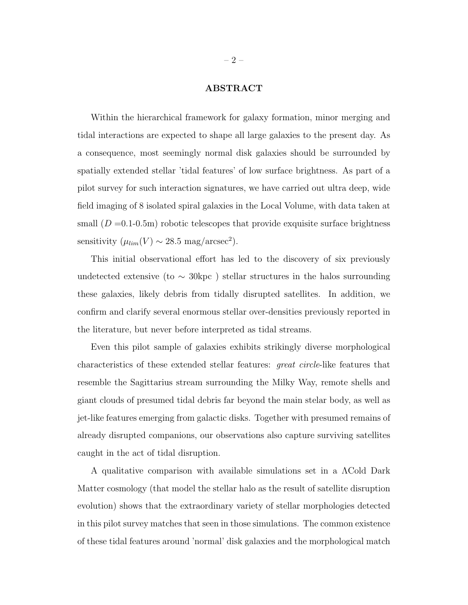### ABSTRACT

Within the hierarchical framework for galaxy formation, minor merging and tidal interactions are expected to shape all large galaxies to the present day. As a consequence, most seemingly normal disk galaxies should be surrounded by spatially extended stellar 'tidal features' of low surface brightness. As part of a pilot survey for such interaction signatures, we have carried out ultra deep, wide field imaging of 8 isolated spiral galaxies in the Local Volume, with data taken at small  $(D = 0.1-0.5m)$  robotic telescopes that provide exquisite surface brightness sensitivity  $(\mu_{lim}(V) \sim 28.5 \text{ mag/arcsec}^2)$ .

This initial observational effort has led to the discovery of six previously undetected extensive (to  $\sim$  30kpc) stellar structures in the halos surrounding these galaxies, likely debris from tidally disrupted satellites. In addition, we confirm and clarify several enormous stellar over-densities previously reported in the literature, but never before interpreted as tidal streams.

Even this pilot sample of galaxies exhibits strikingly diverse morphological characteristics of these extended stellar features: great circle-like features that resemble the Sagittarius stream surrounding the Milky Way, remote shells and giant clouds of presumed tidal debris far beyond the main stelar body, as well as jet-like features emerging from galactic disks. Together with presumed remains of already disrupted companions, our observations also capture surviving satellites caught in the act of tidal disruption.

A qualitative comparison with available simulations set in a ΛCold Dark Matter cosmology (that model the stellar halo as the result of satellite disruption evolution) shows that the extraordinary variety of stellar morphologies detected in this pilot survey matches that seen in those simulations. The common existence of these tidal features around 'normal' disk galaxies and the morphological match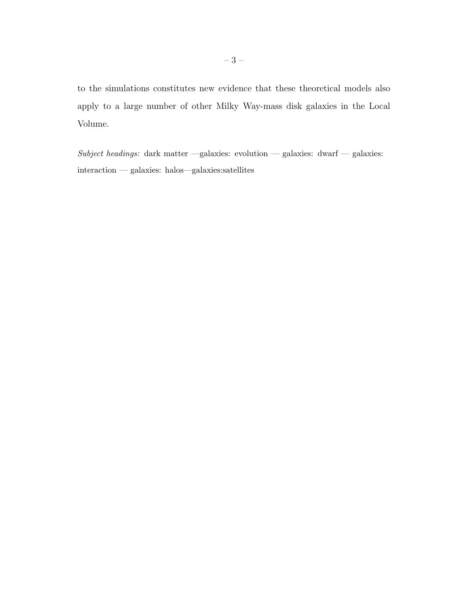to the simulations constitutes new evidence that these theoretical models also apply to a large number of other Milky Way-mass disk galaxies in the Local Volume.

 $\emph{Subject headings: }$  dark matter —galaxies: evolution — galaxies: dwarf — galaxies: interaction — galaxies: halos—galaxies:satellites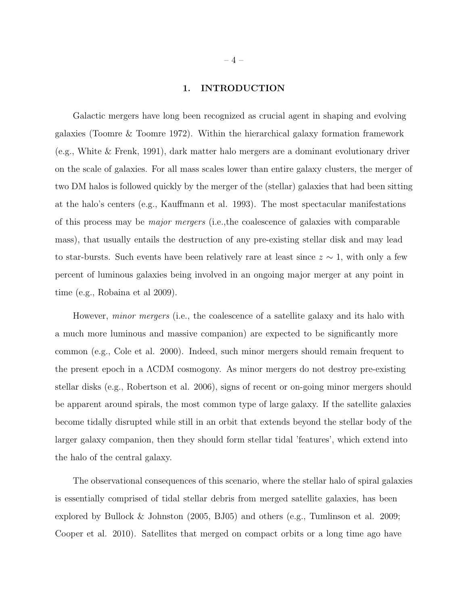#### 1. INTRODUCTION

Galactic mergers have long been recognized as crucial agent in shaping and evolving galaxies (Toomre & Toomre 1972). Within the hierarchical galaxy formation framework (e.g., White & Frenk, 1991), dark matter halo mergers are a dominant evolutionary driver on the scale of galaxies. For all mass scales lower than entire galaxy clusters, the merger of two DM halos is followed quickly by the merger of the (stellar) galaxies that had been sitting at the halo's centers (e.g., Kauffmann et al. 1993). The most spectacular manifestations of this process may be major mergers (i.e.,the coalescence of galaxies with comparable mass), that usually entails the destruction of any pre-existing stellar disk and may lead to star-bursts. Such events have been relatively rare at least since  $z \sim 1$ , with only a few percent of luminous galaxies being involved in an ongoing major merger at any point in time (e.g., Robaina et al 2009).

However, *minor mergers* (i.e., the coalescence of a satellite galaxy and its halo with a much more luminous and massive companion) are expected to be significantly more common (e.g., Cole et al. 2000). Indeed, such minor mergers should remain frequent to the present epoch in a ΛCDM cosmogony. As minor mergers do not destroy pre-existing stellar disks (e.g., Robertson et al. 2006), signs of recent or on-going minor mergers should be apparent around spirals, the most common type of large galaxy. If the satellite galaxies become tidally disrupted while still in an orbit that extends beyond the stellar body of the larger galaxy companion, then they should form stellar tidal 'features', which extend into the halo of the central galaxy.

The observational consequences of this scenario, where the stellar halo of spiral galaxies is essentially comprised of tidal stellar debris from merged satellite galaxies, has been explored by Bullock & Johnston (2005, BJ05) and others (e.g., Tumlinson et al. 2009; Cooper et al. 2010). Satellites that merged on compact orbits or a long time ago have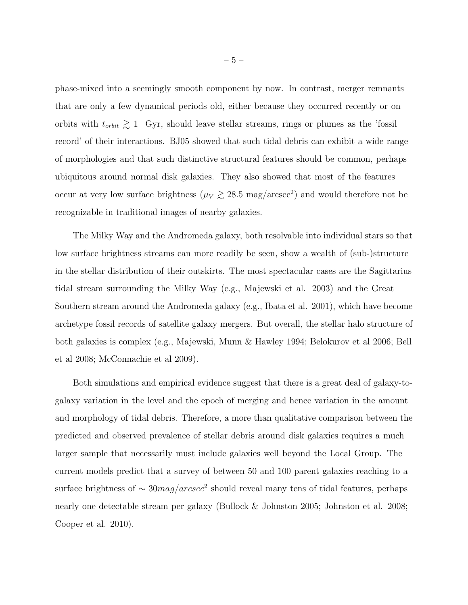phase-mixed into a seemingly smooth component by now. In contrast, merger remnants that are only a few dynamical periods old, either because they occurred recently or on orbits with  $t_{orbit} \gtrsim 1$  Gyr, should leave stellar streams, rings or plumes as the 'fossil record' of their interactions. BJ05 showed that such tidal debris can exhibit a wide range of morphologies and that such distinctive structural features should be common, perhaps ubiquitous around normal disk galaxies. They also showed that most of the features occur at very low surface brightness ( $\mu_V \gtrsim 28.5$  mag/arcsec<sup>2</sup>) and would therefore not be recognizable in traditional images of nearby galaxies.

The Milky Way and the Andromeda galaxy, both resolvable into individual stars so that low surface brightness streams can more readily be seen, show a wealth of (sub-)structure in the stellar distribution of their outskirts. The most spectacular cases are the Sagittarius tidal stream surrounding the Milky Way (e.g., Majewski et al. 2003) and the Great Southern stream around the Andromeda galaxy (e.g., Ibata et al. 2001), which have become archetype fossil records of satellite galaxy mergers. But overall, the stellar halo structure of both galaxies is complex (e.g., Majewski, Munn & Hawley 1994; Belokurov et al 2006; Bell et al 2008; McConnachie et al 2009).

Both simulations and empirical evidence suggest that there is a great deal of galaxy-togalaxy variation in the level and the epoch of merging and hence variation in the amount and morphology of tidal debris. Therefore, a more than qualitative comparison between the predicted and observed prevalence of stellar debris around disk galaxies requires a much larger sample that necessarily must include galaxies well beyond the Local Group. The current models predict that a survey of between 50 and 100 parent galaxies reaching to a surface brightness of  $\sim 30 mag/arcsec^2$  should reveal many tens of tidal features, perhaps nearly one detectable stream per galaxy (Bullock & Johnston 2005; Johnston et al. 2008; Cooper et al. 2010).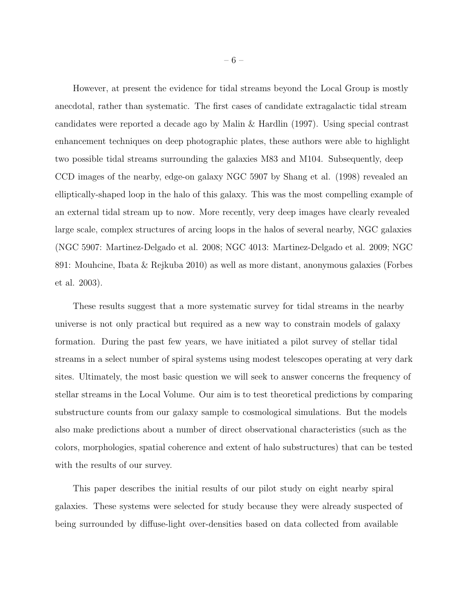However, at present the evidence for tidal streams beyond the Local Group is mostly anecdotal, rather than systematic. The first cases of candidate extragalactic tidal stream candidates were reported a decade ago by Malin & Hardlin (1997). Using special contrast enhancement techniques on deep photographic plates, these authors were able to highlight two possible tidal streams surrounding the galaxies M83 and M104. Subsequently, deep CCD images of the nearby, edge-on galaxy NGC 5907 by Shang et al. (1998) revealed an elliptically-shaped loop in the halo of this galaxy. This was the most compelling example of an external tidal stream up to now. More recently, very deep images have clearly revealed large scale, complex structures of arcing loops in the halos of several nearby, NGC galaxies (NGC 5907: Martinez-Delgado et al. 2008; NGC 4013: Martinez-Delgado et al. 2009; NGC 891: Mouhcine, Ibata & Rejkuba 2010) as well as more distant, anonymous galaxies (Forbes et al. 2003).

These results suggest that a more systematic survey for tidal streams in the nearby universe is not only practical but required as a new way to constrain models of galaxy formation. During the past few years, we have initiated a pilot survey of stellar tidal streams in a select number of spiral systems using modest telescopes operating at very dark sites. Ultimately, the most basic question we will seek to answer concerns the frequency of stellar streams in the Local Volume. Our aim is to test theoretical predictions by comparing substructure counts from our galaxy sample to cosmological simulations. But the models also make predictions about a number of direct observational characteristics (such as the colors, morphologies, spatial coherence and extent of halo substructures) that can be tested with the results of our survey.

This paper describes the initial results of our pilot study on eight nearby spiral galaxies. These systems were selected for study because they were already suspected of being surrounded by diffuse-light over-densities based on data collected from available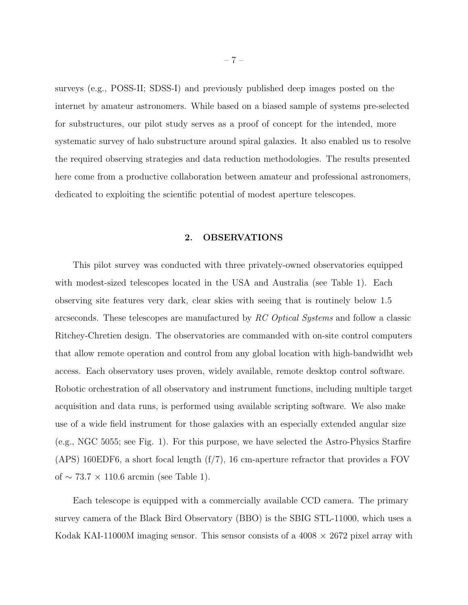surveys (e.g., POSS-II; SDSS-I) and previously published deep images posted on the internet by amateur astronomers. While based on a biased sample of systems pre-selected for substructures, our pilot study serves as a proof of concept for the intended, more systematic survey of halo substructure around spiral galaxies. It also enabled us to resolve the required observing strategies and data reduction methodologies. The results presented here come from a productive collaboration between amateur and professional astronomers, dedicated to exploiting the scientific potential of modest aperture telescopes.

## 2. OBSERVATIONS

This pilot survey was conducted with three privately-owned observatories equipped with modest-sized telescopes located in the USA and Australia (see Table 1). Each observing site features very dark, clear skies with seeing that is routinely below 1.5 arcseconds. These telescopes are manufactured by RC Optical Systems and follow a classic Ritchey-Chretien design. The observatories are commanded with on-site control computers that allow remote operation and control from any global location with high-bandwidht web access. Each observatory uses proven, widely available, remote desktop control software. Robotic orchestration of all observatory and instrument functions, including multiple target acquisition and data runs, is performed using available scripting software. We also make use of a wide field instrument for those galaxies with an especially extended angular size (e.g., NGC 5055; see Fig. 1). For this purpose, we have selected the Astro-Physics Starfire (APS) 160EDF6, a short focal length (f/7), 16 cm-aperture refractor that provides a FOV of  $\sim$  73.7  $\times$  110.6 arcmin (see Table 1).

Each telescope is equipped with a commercially available CCD camera. The primary survey camera of the Black Bird Observatory (BBO) is the SBIG STL-11000, which uses a Kodak KAI-11000M imaging sensor. This sensor consists of a  $4008 \times 2672$  pixel array with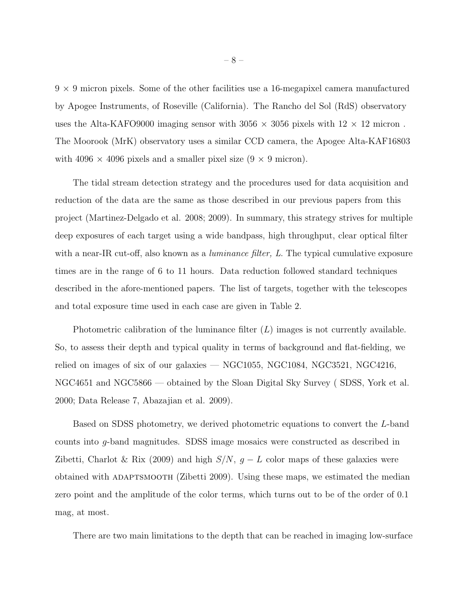$9 \times 9$  micron pixels. Some of the other facilities use a 16-megapixel camera manufactured by Apogee Instruments, of Roseville (California). The Rancho del Sol (RdS) observatory uses the Alta-KAFO9000 imaging sensor with  $3056 \times 3056$  pixels with  $12 \times 12$  micron. The Moorook (MrK) observatory uses a similar CCD camera, the Apogee Alta-KAF16803 with 4096  $\times$  4096 pixels and a smaller pixel size  $(9 \times 9 \text{ micron})$ .

The tidal stream detection strategy and the procedures used for data acquisition and reduction of the data are the same as those described in our previous papers from this project (Martinez-Delgado et al. 2008; 2009). In summary, this strategy strives for multiple deep exposures of each target using a wide bandpass, high throughput, clear optical filter with a near-IR cut-off, also known as a *luminance filter*, L. The typical cumulative exposure times are in the range of 6 to 11 hours. Data reduction followed standard techniques described in the afore-mentioned papers. The list of targets, together with the telescopes and total exposure time used in each case are given in Table 2.

Photometric calibration of the luminance filter  $(L)$  images is not currently available. So, to assess their depth and typical quality in terms of background and flat-fielding, we relied on images of six of our galaxies — NGC1055, NGC1084, NGC3521, NGC4216, NGC4651 and NGC5866 — obtained by the Sloan Digital Sky Survey ( SDSS, York et al. 2000; Data Release 7, Abazajian et al. 2009).

Based on SDSS photometry, we derived photometric equations to convert the L-band counts into g-band magnitudes. SDSS image mosaics were constructed as described in Zibetti, Charlot & Rix (2009) and high  $S/N$ ,  $g - L$  color maps of these galaxies were obtained with adaptsmooth (Zibetti 2009). Using these maps, we estimated the median zero point and the amplitude of the color terms, which turns out to be of the order of 0.1 mag, at most.

There are two main limitations to the depth that can be reached in imaging low-surface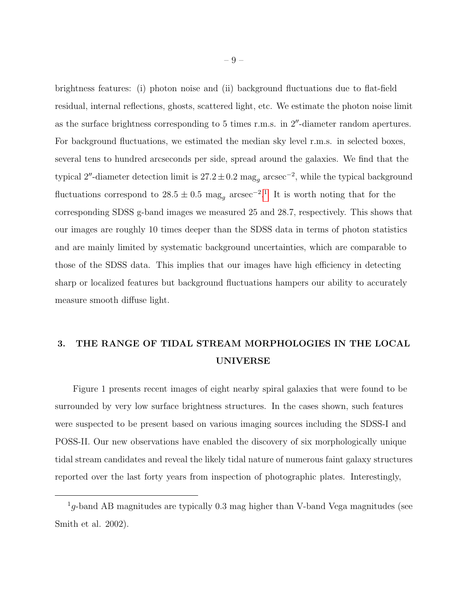brightness features: (i) photon noise and (ii) background fluctuations due to flat-field residual, internal reflections, ghosts, scattered light, etc. We estimate the photon noise limit as the surface brightness corresponding to 5 times r.m.s. in  $2<sup>n</sup>$ -diameter random apertures. For background fluctuations, we estimated the median sky level r.m.s. in selected boxes, several tens to hundred arcseconds per side, spread around the galaxies. We find that the typical 2"-diameter detection limit is  $27.2 \pm 0.2$  mag<sub>g</sub> arcsec<sup>-2</sup>, while the typical background fluctuations correspond to 28.5  $\pm$  0.5 mag<sub>g</sub> arcsec<sup>-2</sup>.<sup>[1](#page-8-0)</sup> It is worth noting that for the corresponding SDSS g-band images we measured 25 and 28.7, respectively. This shows that our images are roughly 10 times deeper than the SDSS data in terms of photon statistics and are mainly limited by systematic background uncertainties, which are comparable to those of the SDSS data. This implies that our images have high efficiency in detecting sharp or localized features but background fluctuations hampers our ability to accurately measure smooth diffuse light.

## 3. THE RANGE OF TIDAL STREAM MORPHOLOGIES IN THE LOCAL UNIVERSE

Figure 1 presents recent images of eight nearby spiral galaxies that were found to be surrounded by very low surface brightness structures. In the cases shown, such features were suspected to be present based on various imaging sources including the SDSS-I and POSS-II. Our new observations have enabled the discovery of six morphologically unique tidal stream candidates and reveal the likely tidal nature of numerous faint galaxy structures reported over the last forty years from inspection of photographic plates. Interestingly,

<span id="page-8-0"></span> $1g$ -band AB magnitudes are typically 0.3 mag higher than V-band Vega magnitudes (see Smith et al. 2002).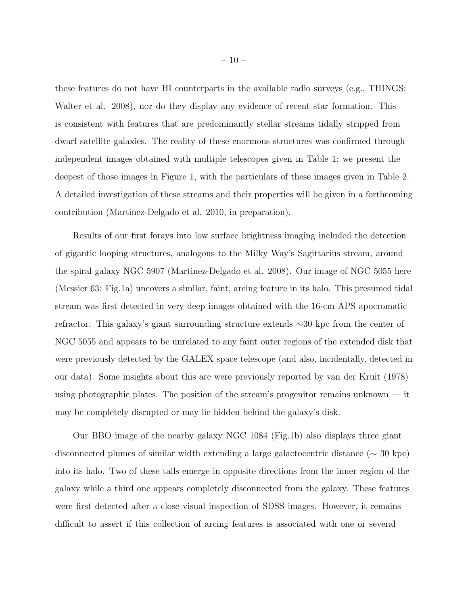these features do not have HI counterparts in the available radio surveys (e.g., THINGS: Walter et al. 2008), nor do they display any evidence of recent star formation. This is consistent with features that are predominantly stellar streams tidally stripped from dwarf satellite galaxies. The reality of these enormous structures was confirmed through independent images obtained with multiple telescopes given in Table 1; we present the deepest of those images in Figure 1, with the particulars of these images given in Table 2. A detailed investigation of these streams and their properties will be given in a forthcoming contribution (Martinez-Delgado et al. 2010, in preparation).

Results of our first forays into low surface brightness imaging included the detection of gigantic looping structures, analogous to the Milky Way's Sagittarius stream, around the spiral galaxy NGC 5907 (Martinez-Delgado et al. 2008). Our image of NGC 5055 here (Messier 63: Fig.1a) uncovers a similar, faint, arcing feature in its halo. This presumed tidal stream was first detected in very deep images obtained with the 16-cm APS apocromatic refractor. This galaxy's giant surrounding structure extends ∼30 kpc from the center of NGC 5055 and appears to be unrelated to any faint outer regions of the extended disk that were previously detected by the GALEX space telescope (and also, incidentally, detected in our data). Some insights about this arc were previously reported by van der Kruit (1978) using photographic plates. The position of the stream's progenitor remains unknown — it may be completely disrupted or may lie hidden behind the galaxy's disk.

Our BBO image of the nearby galaxy NGC 1084 (Fig.1b) also displays three giant disconnected plumes of similar width extending a large galactocentric distance (∼ 30 kpc) into its halo. Two of these tails emerge in opposite directions from the inner region of the galaxy while a third one appears completely disconnected from the galaxy. These features were first detected after a close visual inspection of SDSS images. However, it remains difficult to assert if this collection of arcing features is associated with one or several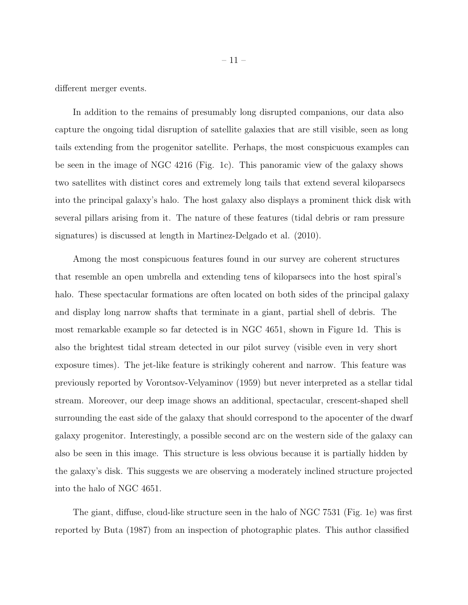different merger events.

In addition to the remains of presumably long disrupted companions, our data also capture the ongoing tidal disruption of satellite galaxies that are still visible, seen as long tails extending from the progenitor satellite. Perhaps, the most conspicuous examples can be seen in the image of NGC 4216 (Fig. 1c). This panoramic view of the galaxy shows two satellites with distinct cores and extremely long tails that extend several kiloparsecs into the principal galaxy's halo. The host galaxy also displays a prominent thick disk with several pillars arising from it. The nature of these features (tidal debris or ram pressure signatures) is discussed at length in Martinez-Delgado et al. (2010).

Among the most conspicuous features found in our survey are coherent structures that resemble an open umbrella and extending tens of kiloparsecs into the host spiral's halo. These spectacular formations are often located on both sides of the principal galaxy and display long narrow shafts that terminate in a giant, partial shell of debris. The most remarkable example so far detected is in NGC 4651, shown in Figure 1d. This is also the brightest tidal stream detected in our pilot survey (visible even in very short exposure times). The jet-like feature is strikingly coherent and narrow. This feature was previously reported by Vorontsov-Velyaminov (1959) but never interpreted as a stellar tidal stream. Moreover, our deep image shows an additional, spectacular, crescent-shaped shell surrounding the east side of the galaxy that should correspond to the apocenter of the dwarf galaxy progenitor. Interestingly, a possible second arc on the western side of the galaxy can also be seen in this image. This structure is less obvious because it is partially hidden by the galaxy's disk. This suggests we are observing a moderately inclined structure projected into the halo of NGC 4651.

The giant, diffuse, cloud-like structure seen in the halo of NGC 7531 (Fig. 1e) was first reported by Buta (1987) from an inspection of photographic plates. This author classified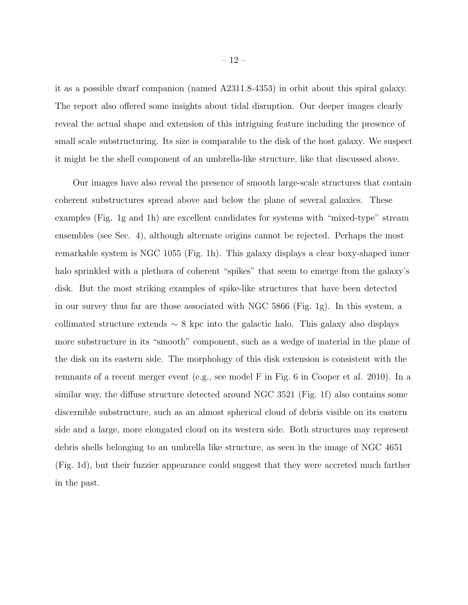it as a possible dwarf companion (named A2311.8-4353) in orbit about this spiral galaxy. The report also offered some insights about tidal disruption. Our deeper images clearly reveal the actual shape and extension of this intriguing feature including the presence of small scale substructuring. Its size is comparable to the disk of the host galaxy. We suspect it might be the shell component of an umbrella-like structure, like that discussed above.

Our images have also reveal the presence of smooth large-scale structures that contain coherent substructures spread above and below the plane of several galaxies. These examples (Fig. 1g and 1h) are excellent candidates for systems with "mixed-type" stream ensembles (see Sec. 4), although alternate origins cannot be rejected. Perhaps the most remarkable system is NGC 1055 (Fig. 1h). This galaxy displays a clear boxy-shaped inner halo sprinkled with a plethora of coherent "spikes" that seem to emerge from the galaxy's disk. But the most striking examples of spike-like structures that have been detected in our survey thus far are those associated with NGC 5866 (Fig. 1g). In this system, a collimated structure extends  $\sim 8$  kpc into the galactic halo. This galaxy also displays more substructure in its "smooth" component, such as a wedge of material in the plane of the disk on its eastern side. The morphology of this disk extension is consistent with the remnants of a recent merger event (e.g., see model F in Fig. 6 in Cooper et al. 2010). In a similar way, the diffuse structure detected around NGC 3521 (Fig. 1f) also contains some discernible substructure, such as an almost spherical cloud of debris visible on its eastern side and a large, more elongated cloud on its western side. Both structures may represent debris shells belonging to an umbrella like structure, as seen in the image of NGC 4651 (Fig. 1d), but their fuzzier appearance could suggest that they were accreted much farther in the past.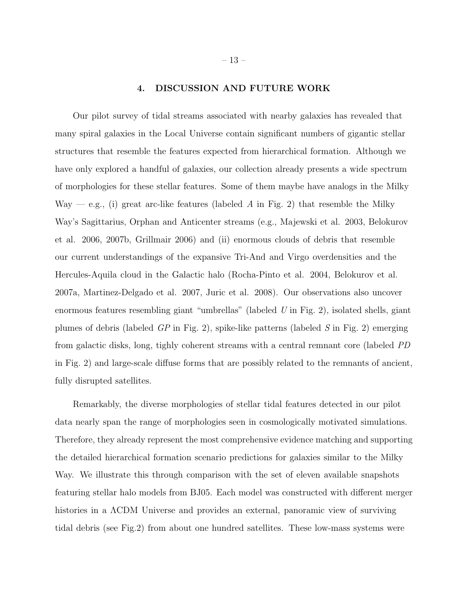## 4. DISCUSSION AND FUTURE WORK

Our pilot survey of tidal streams associated with nearby galaxies has revealed that many spiral galaxies in the Local Universe contain significant numbers of gigantic stellar structures that resemble the features expected from hierarchical formation. Although we have only explored a handful of galaxies, our collection already presents a wide spectrum of morphologies for these stellar features. Some of them maybe have analogs in the Milky Way — e.g., (i) great arc-like features (labeled A in Fig. 2) that resemble the Milky Way's Sagittarius, Orphan and Anticenter streams (e.g., Majewski et al. 2003, Belokurov et al. 2006, 2007b, Grillmair 2006) and (ii) enormous clouds of debris that resemble our current understandings of the expansive Tri-And and Virgo overdensities and the Hercules-Aquila cloud in the Galactic halo (Rocha-Pinto et al. 2004, Belokurov et al. 2007a, Martinez-Delgado et al. 2007, Juric et al. 2008). Our observations also uncover enormous features resembling giant "umbrellas" (labeled U in Fig. 2), isolated shells, giant plumes of debris (labeled  $\overline{GP}$  in Fig. 2), spike-like patterns (labeled  $\overline{S}$  in Fig. 2) emerging from galactic disks, long, tighly coherent streams with a central remnant core (labeled PD in Fig. 2) and large-scale diffuse forms that are possibly related to the remnants of ancient, fully disrupted satellites.

Remarkably, the diverse morphologies of stellar tidal features detected in our pilot data nearly span the range of morphologies seen in cosmologically motivated simulations. Therefore, they already represent the most comprehensive evidence matching and supporting the detailed hierarchical formation scenario predictions for galaxies similar to the Milky Way. We illustrate this through comparison with the set of eleven available snapshots featuring stellar halo models from BJ05. Each model was constructed with different merger histories in a ΛCDM Universe and provides an external, panoramic view of surviving tidal debris (see Fig.2) from about one hundred satellites. These low-mass systems were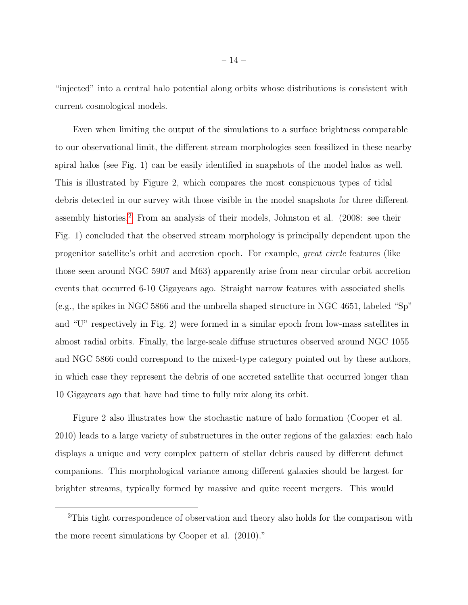"injected" into a central halo potential along orbits whose distributions is consistent with current cosmological models.

Even when limiting the output of the simulations to a surface brightness comparable to our observational limit, the different stream morphologies seen fossilized in these nearby spiral halos (see Fig. 1) can be easily identified in snapshots of the model halos as well. This is illustrated by Figure 2, which compares the most conspicuous types of tidal debris detected in our survey with those visible in the model snapshots for three different assembly histories.[2](#page-13-0) From an analysis of their models, Johnston et al. (2008: see their Fig. 1) concluded that the observed stream morphology is principally dependent upon the progenitor satellite's orbit and accretion epoch. For example, great circle features (like those seen around NGC 5907 and M63) apparently arise from near circular orbit accretion events that occurred 6-10 Gigayears ago. Straight narrow features with associated shells (e.g., the spikes in NGC 5866 and the umbrella shaped structure in NGC 4651, labeled "Sp" and "U" respectively in Fig. 2) were formed in a similar epoch from low-mass satellites in almost radial orbits. Finally, the large-scale diffuse structures observed around NGC 1055 and NGC 5866 could correspond to the mixed-type category pointed out by these authors, in which case they represent the debris of one accreted satellite that occurred longer than 10 Gigayears ago that have had time to fully mix along its orbit.

Figure 2 also illustrates how the stochastic nature of halo formation (Cooper et al. 2010) leads to a large variety of substructures in the outer regions of the galaxies: each halo displays a unique and very complex pattern of stellar debris caused by different defunct companions. This morphological variance among different galaxies should be largest for brighter streams, typically formed by massive and quite recent mergers. This would

<span id="page-13-0"></span><sup>&</sup>lt;sup>2</sup>This tight correspondence of observation and theory also holds for the comparison with the more recent simulations by Cooper et al. (2010)."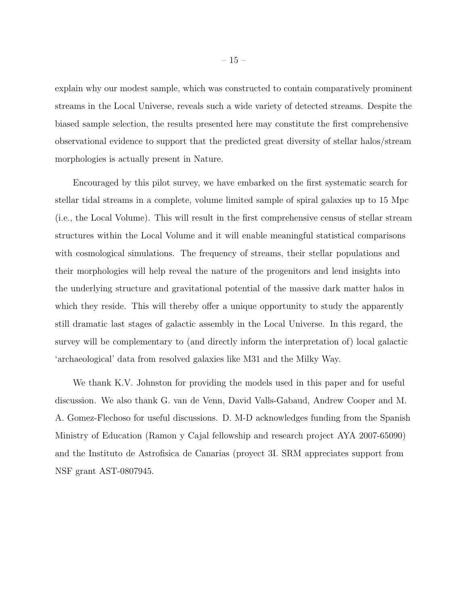explain why our modest sample, which was constructed to contain comparatively prominent streams in the Local Universe, reveals such a wide variety of detected streams. Despite the biased sample selection, the results presented here may constitute the first comprehensive observational evidence to support that the predicted great diversity of stellar halos/stream morphologies is actually present in Nature.

Encouraged by this pilot survey, we have embarked on the first systematic search for stellar tidal streams in a complete, volume limited sample of spiral galaxies up to 15 Mpc (i.e., the Local Volume). This will result in the first comprehensive census of stellar stream structures within the Local Volume and it will enable meaningful statistical comparisons with cosmological simulations. The frequency of streams, their stellar populations and their morphologies will help reveal the nature of the progenitors and lend insights into the underlying structure and gravitational potential of the massive dark matter halos in which they reside. This will thereby offer a unique opportunity to study the apparently still dramatic last stages of galactic assembly in the Local Universe. In this regard, the survey will be complementary to (and directly inform the interpretation of) local galactic 'archaeological' data from resolved galaxies like M31 and the Milky Way.

We thank K.V. Johnston for providing the models used in this paper and for useful discussion. We also thank G. van de Venn, David Valls-Gabaud, Andrew Cooper and M. A. Gomez-Flechoso for useful discussions. D. M-D acknowledges funding from the Spanish Ministry of Education (Ramon y Cajal fellowship and research project AYA 2007-65090) and the Instituto de Astrofisica de Canarias (proyect 3I. SRM appreciates support from NSF grant AST-0807945.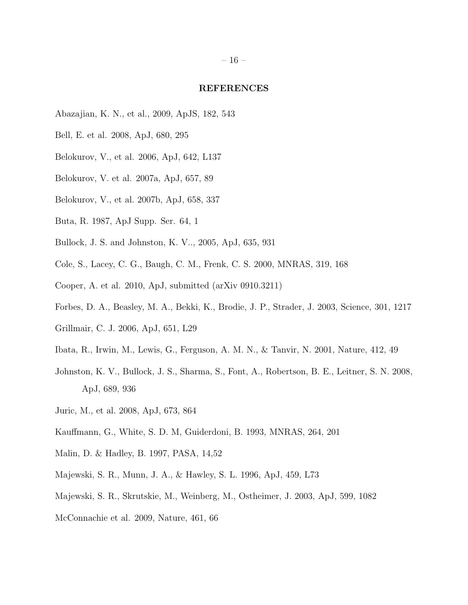#### REFERENCES

- Abazajian, K. N., et al., 2009, ApJS, 182, 543
- Bell, E. et al. 2008, ApJ, 680, 295
- Belokurov, V., et al. 2006, ApJ, 642, L137
- Belokurov, V. et al. 2007a, ApJ, 657, 89
- Belokurov, V., et al. 2007b, ApJ, 658, 337
- Buta, R. 1987, ApJ Supp. Ser. 64, 1
- Bullock, J. S. and Johnston, K. V.., 2005, ApJ, 635, 931
- Cole, S., Lacey, C. G., Baugh, C. M., Frenk, C. S. 2000, MNRAS, 319, 168
- Cooper, A. et al. 2010, ApJ, submitted (arXiv 0910.3211)
- Forbes, D. A., Beasley, M. A., Bekki, K., Brodie, J. P., Strader, J. 2003, Science, 301, 1217
- Grillmair, C. J. 2006, ApJ, 651, L29
- Ibata, R., Irwin, M., Lewis, G., Ferguson, A. M. N., & Tanvir, N. 2001, Nature, 412, 49
- Johnston, K. V., Bullock, J. S., Sharma, S., Font, A., Robertson, B. E., Leitner, S. N. 2008, ApJ, 689, 936
- Juric, M., et al. 2008, ApJ, 673, 864
- Kauffmann, G., White, S. D. M, Guiderdoni, B. 1993, MNRAS, 264, 201
- Malin, D. & Hadley, B. 1997, PASA, 14,52
- Majewski, S. R., Munn, J. A., & Hawley, S. L. 1996, ApJ, 459, L73
- Majewski, S. R., Skrutskie, M., Weinberg, M., Ostheimer, J. 2003, ApJ, 599, 1082
- McConnachie et al. 2009, Nature, 461, 66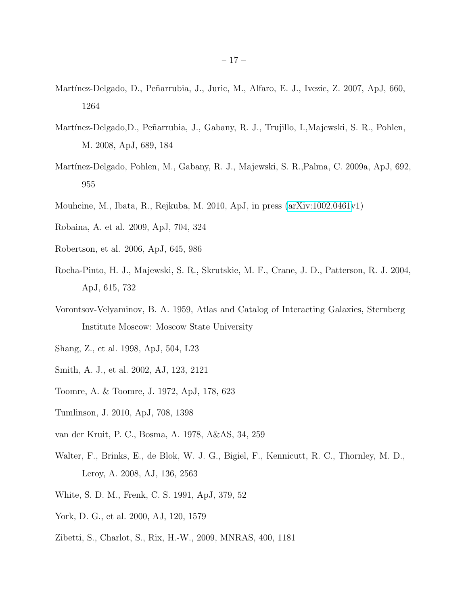- Martínez-Delgado, D., Peñarrubia, J., Juric, M., Alfaro, E. J., Ivezic, Z. 2007, ApJ, 660, 1264
- Martínez-Delgado,D., Peñarrubia, J., Gabany, R. J., Trujillo, I.,Majewski, S. R., Pohlen, M. 2008, ApJ, 689, 184
- Mart´ınez-Delgado, Pohlen, M., Gabany, R. J., Majewski, S. R.,Palma, C. 2009a, ApJ, 692, 955
- Mouhcine, M., Ibata, R., Rejkuba, M. 2010, ApJ, in press [\(arXiv:1002.0461v](http://arxiv.org/abs/1002.0461)1)
- Robaina, A. et al. 2009, ApJ, 704, 324
- Robertson, et al. 2006, ApJ, 645, 986
- Rocha-Pinto, H. J., Majewski, S. R., Skrutskie, M. F., Crane, J. D., Patterson, R. J. 2004, ApJ, 615, 732
- Vorontsov-Velyaminov, B. A. 1959, Atlas and Catalog of Interacting Galaxies, Sternberg Institute Moscow: Moscow State University
- Shang, Z., et al. 1998, ApJ, 504, L23
- Smith, A. J., et al. 2002, AJ, 123, 2121
- Toomre, A. & Toomre, J. 1972, ApJ, 178, 623
- Tumlinson, J. 2010, ApJ, 708, 1398
- van der Kruit, P. C., Bosma, A. 1978, A&AS, 34, 259
- Walter, F., Brinks, E., de Blok, W. J. G., Bigiel, F., Kennicutt, R. C., Thornley, M. D., Leroy, A. 2008, AJ, 136, 2563
- White, S. D. M., Frenk, C. S. 1991, ApJ, 379, 52
- York, D. G., et al. 2000, AJ, 120, 1579
- Zibetti, S., Charlot, S., Rix, H.-W., 2009, MNRAS, 400, 1181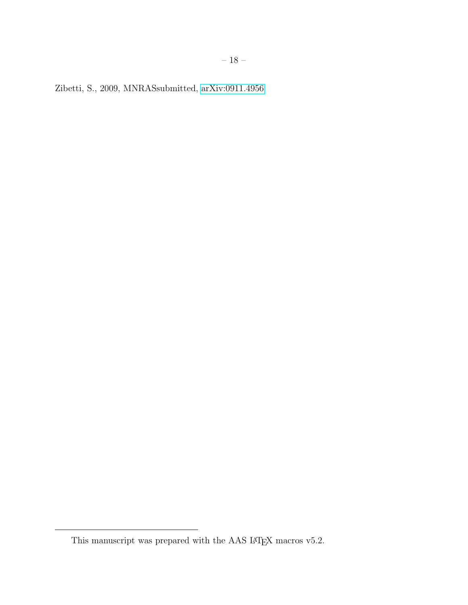Zibetti, S., 2009, MNRASsubmitted, [arXiv:0911.4956](http://arxiv.org/abs/0911.4956)

This manuscript was prepared with the AAS IATEX macros v5.2.  $\,$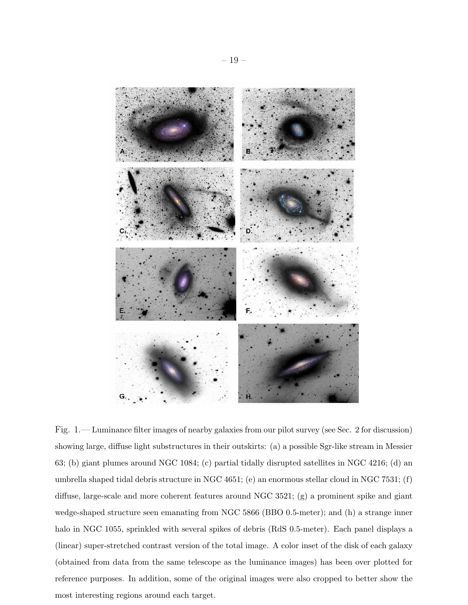

Fig. 1.— Luminance filter images of nearby galaxies from our pilot survey (see Sec. 2 for discussion) showing large, diffuse light substructures in their outskirts: (a) a possible Sgr-like stream in Messier 63; (b) giant plumes around NGC 1084; (c) partial tidally disrupted satellites in NGC 4216; (d) an umbrella shaped tidal debris structure in NGC 4651; (e) an enormous stellar cloud in NGC 7531; (f) diffuse, large-scale and more coherent features around NGC 3521; (g) a prominent spike and giant wedge-shaped structure seen emanating from NGC 5866 (BBO 0.5-meter); and (h) a strange inner halo in NGC 1055, sprinkled with several spikes of debris (RdS 0.5-meter). Each panel displays a (linear) super-stretched contrast version of the total image. A color inset of the disk of each galaxy (obtained from data from the same telescope as the luminance images) has been over plotted for reference purposes. In addition, some of the original images were also cropped to better show the most interesting regions around each target.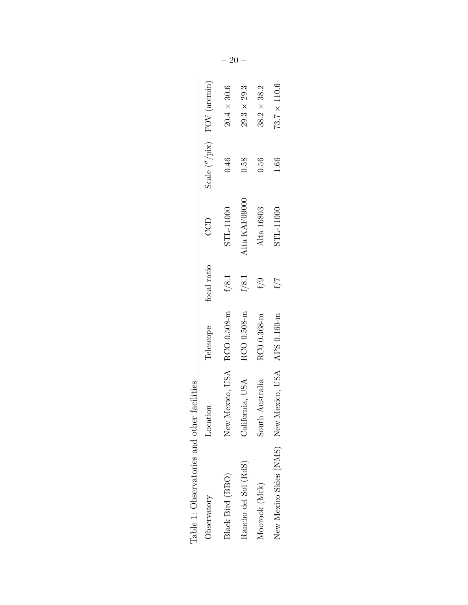| Table 1: Observatories and other facilities |                    |                         |             |               |      |                                        |
|---------------------------------------------|--------------------|-------------------------|-------------|---------------|------|----------------------------------------|
| Observatory                                 | Location           | Telescope               | focal ratio | CCD           |      | Scale $\binom{n}{k}$ pix) FOV (arcmin) |
| Black Bird (BBO)                            | New                | Mexico, USA RCO 0.508-m | f/8.1       | STL-11000     | 0.46 | $20.4 \times 30.6$                     |
| Rancho del Sol (RdS)                        | California, USA    | RCO 0.508-m             | f/8.1       | Alta KAF09000 | 0.58 | $29.3 \times 29.3$                     |
| Moorook (Mrk)                               | Australia<br>South | RC0 0.368-m             | f/9         | Alta 16803    | 0.56 | $38.2\times38.2$                       |
| New Mexico Skies (NMS) New                  | Mexico, USA        | APS 0.160-m             | f / 7       | STL-11000     | 1.66 | $73.7 \times 110.6$                    |
|                                             |                    |                         |             |               |      |                                        |

| ۱<br>پا                                                                                                |  |
|--------------------------------------------------------------------------------------------------------|--|
| í<br>$\frac{1}{2}$<br>i                                                                                |  |
| Ç<br>֧֦֦֛֚֚֚֚֚֚֚֚֚֚֚֚֚֚֝֝֝֝<br>֧֧֧֧֧֧ׅׅ֧֧֧֧֧֧֧֧֚֚֚֚֚֚֚֚֚֚֚֚֚֚֚֚֚֚֚֚֚֚֚֚֚֚֚֚֚֚֚֚֚֚֚֝֝֝֝֬֝֝֝֬֝<br>ς<br>Ο |  |
| くうくうく<br>J<br>j<br>)<br>j<br>i<br>C<br>ì<br>J<br>Ï<br>١<br>֬֘                                          |  |
|                                                                                                        |  |
| I<br>٢                                                                                                 |  |
| ֠<br>l                                                                                                 |  |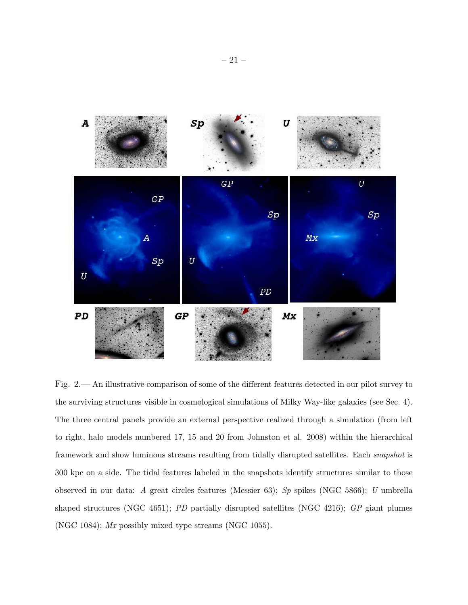

Fig. 2.— An illustrative comparison of some of the different features detected in our pilot survey to the surviving structures visible in cosmological simulations of Milky Way-like galaxies (see Sec. 4). The three central panels provide an external perspective realized through a simulation (from left to right, halo models numbered 17, 15 and 20 from Johnston et al. 2008) within the hierarchical framework and show luminous streams resulting from tidally disrupted satellites. Each snapshot is 300 kpc on a side. The tidal features labeled in the snapshots identify structures similar to those observed in our data: A great circles features (Messier 63); Sp spikes (NGC 5866); U umbrella shaped structures (NGC 4651); PD partially disrupted satellites (NGC 4216); GP giant plumes (NGC 1084); Mx possibly mixed type streams (NGC 1055).